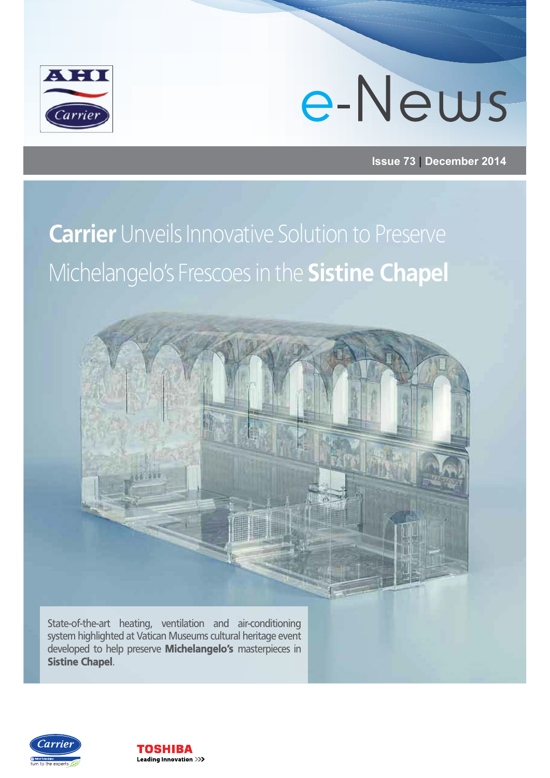

#### **Issue 73 | December 2014**

#### **Carrier** Unveils Innovative Solution to Preserve Michelangelo's Frescoes in the **Sistine Chapel**



State-of-the-art heating, ventilation and air-conditioning system highlighted at Vatican Museums cultural heritage event developed to help preserve Michelangelo's masterpieces in Sistine Chapel.



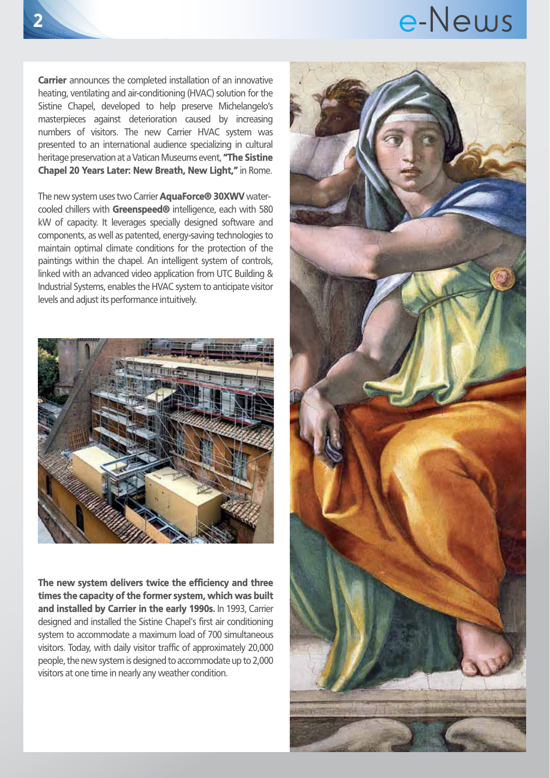Carrier announces the completed installation of an innovative heating, ventilating and air-conditioning (HVAC) solution for the Sistine Chapel, developed to help preserve Michelangelo's masterpieces against deterioration caused by increasing numbers of visitors. The new Carrier HVAC system was presented to an international audience specializing in cultural heritage preservation at a Vatican Museums event. "The Sistine Chapel 20 Years Later: New Breath, New Light," in Rome.

The new system uses two Carrier **AquaForce® 30XWV** watercooled chillers with Greenspeed® intelligence, each with 580 kW of capacity. It leverages specially designed software and components, as well as patented, energy-saving technologies to maintain optimal climate conditions for the protection of the paintings within the chapel. An intelligent system of controls, linked with an advanced video application from UTC Building & Industrial Systems, enables the HVAC system to anticipate visitor levels and adjust its performance intuitively.



The new system delivers twice the efficiency and three times the capacity of the former system, which was built and installed by Carrier in the early 1990s. In 1993, Carrier designed and installed the Sistine Chapel's first air conditioning system to accommodate a maximum load of 700 simultaneous visitors. Today, with daily visitor traffic of approximately 20,000 people, the new system is designed to accommodate up to 2,000 visitors at one time in nearly any weather condition.

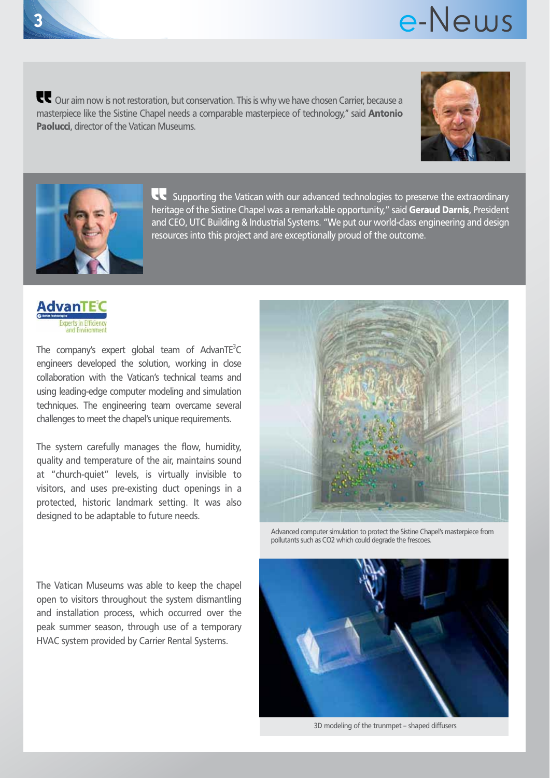Our aim now is not restoration, but conservation. This is why we have chosen Carrier, because a masterpiece like the Sistine Chapel needs a comparable masterpiece of technology," said **Antonio** Paolucci, director of the Vatican Museums.





**Supporting the Vatican with our advanced technologies to preserve the extraordinary** heritage of the Sistine Chapel was a remarkable opportunity," said Geraud Darnis, President and CEO, UTC Building & Industrial Systems. "We put our world-class engineering and design resources into this project and are exceptionally proud of the outcome.



The company's expert global team of AdvanTE<sup>3</sup>C engineers developed the solution, working in close collaboration with the Vatican's technical teams and using leading-edge computer modeling and simulation techniques. The engineering team overcame several challenges to meet the chapel's unique requirements.

The system carefully manages the flow, humidity, quality and temperature of the air, maintains sound at "church-quiet" levels, is virtually invisible to visitors, and uses pre-existing duct openings in a protected, historic landmark setting. It was also designed to be adaptable to future needs.



Advanced computer simulation to protect the Sistine Chapel's masterpiece from pollutants such as CO2 which could degrade the frescoes.

3D modeling of the trunmpet – shaped diffusers

The Vatican Museums was able to keep the chapel open to visitors throughout the system dismantling and installation process, which occurred over the peak summer season, through use of a temporary HVAC system provided by Carrier Rental Systems.